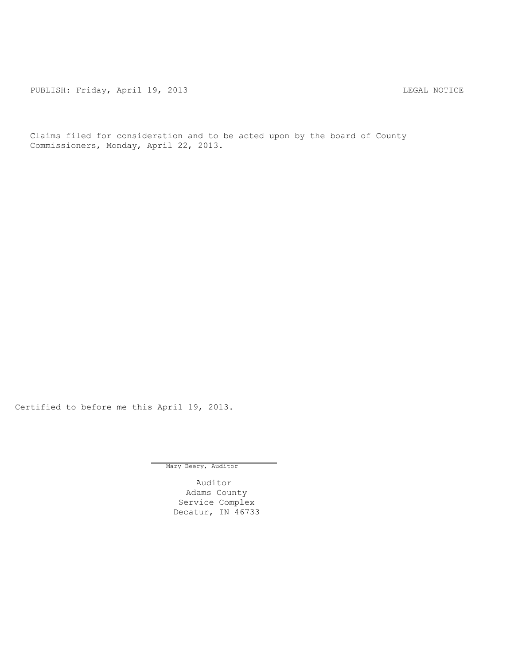PUBLISH: Friday, April 19, 2013 1992 1994 1994 1994 1994 1994 1995 1996 1997 1998 1999 1999 1999 1999 1999 19

Claims filed for consideration and to be acted upon by the board of County Commissioners, Monday, April 22, 2013.

Certified to before me this April 19, 2013.

Mary Beery, Auditor

Auditor Adams County Service Complex Decatur, IN 46733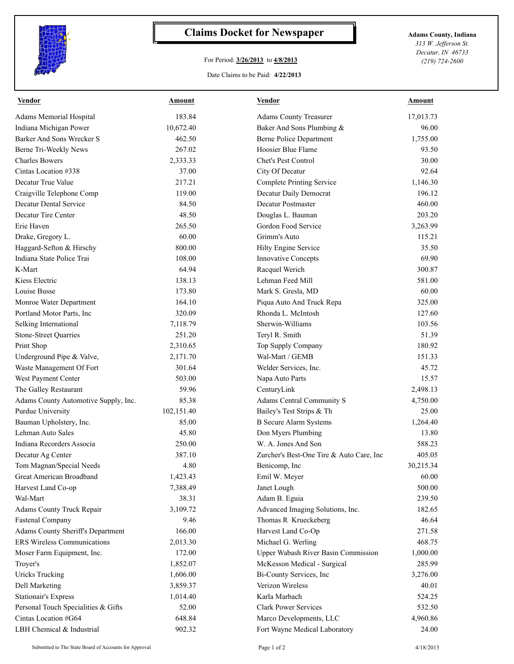

## **Claims Docket for Newspaper Adams County, Indiana**

## For Period: **3/26/2013** to **4/8/2013**

*313 W. Jefferson St. Decatur, IN 46733 (219) 724-2600*

## Date Claims to be Paid: **4/22/2013**

| <b>Vendor</b>                        | <b>Amount</b> | <b>Vendor</b>                            | <b>Amount</b> |
|--------------------------------------|---------------|------------------------------------------|---------------|
| Adams Memorial Hospital              | 183.84        | <b>Adams County Treasurer</b>            | 17,013.73     |
| Indiana Michigan Power               | 10,672.40     | Baker And Sons Plumbing &                | 96.00         |
| Barker And Sons Wrecker S            | 462.50        | <b>Berne Police Department</b>           | 1,755.00      |
| Berne Tri-Weekly News                | 267.02        | Hoosier Blue Flame                       | 93.50         |
| <b>Charles Bowers</b>                | 2,333.33      | Chet's Pest Control                      | 30.00         |
| Cintas Location #338                 | 37.00         | City Of Decatur                          | 92.64         |
| Decatur True Value                   | 217.21        | Complete Printing Service                | 1,146.30      |
| Craigville Telephone Comp            | 119.00        | Decatur Daily Democrat                   | 196.12        |
| <b>Decatur Dental Service</b>        | 84.50         | Decatur Postmaster                       | 460.00        |
| Decatur Tire Center                  | 48.50         | Douglas L. Bauman                        | 203.20        |
| Erie Haven                           | 265.50        | Gordon Food Service                      | 3,263.99      |
| Drake, Gregory L.                    | 60.00         | Grimm's Auto                             | 115.21        |
| Haggard-Sefton & Hirschy             | 800.00        | Hilty Engine Service                     | 35.50         |
| Indiana State Police Trai            | 108.00        | <b>Innovative Concepts</b>               | 69.90         |
| K-Mart                               | 64.94         | Racquel Werich                           | 300.87        |
| Kiess Electric                       | 138.13        | Lehman Feed Mill                         | 581.00        |
| Louise Busse                         | 173.80        | Mark S. Gresla, MD                       | 60.00         |
| Monroe Water Department              | 164.10        | Piqua Auto And Truck Repa                | 325.00        |
| Portland Motor Parts, Inc            | 320.09        | Rhonda L. McIntosh                       | 127.60        |
| Selking International                | 7,118.79      | Sherwin-Williams                         | 103.56        |
| <b>Stone-Street Quarries</b>         | 251.20        | Teryl R. Smith                           | 51.39         |
| Print Shop                           | 2,310.65      | Top Supply Company                       | 180.92        |
| Underground Pipe & Valve,            | 2,171.70      | Wal-Mart / GEMB                          | 151.33        |
| Waste Management Of Fort             | 301.64        | Welder Services, Inc.                    | 45.72         |
| West Payment Center                  | 503.00        | Napa Auto Parts                          | 15.57         |
| The Galley Restaurant                | 59.96         | CenturyLink                              | 2,498.13      |
| Adams County Automotive Supply, Inc. | 85.38         | Adams Central Community S                | 4,750.00      |
| Purdue University                    | 102,151.40    | Bailey's Test Strips & Th                | 25.00         |
| Bauman Upholstery, Inc.              | 85.00         | <b>B</b> Secure Alarm Systems            | 1,264.40      |
| Lehman Auto Sales                    | 45.80         | Don Myers Plumbing                       | 13.80         |
| Indiana Recorders Associa            | 250.00        | W. A. Jones And Son                      | 588.23        |
| Decatur Ag Center                    | 387.10        | Zurcher's Best-One Tire & Auto Care, Inc | 405.05        |
| Tom Magnan/Special Needs             | 4.80          | Benicomp, Inc.                           | 30,215.34     |
| Great American Broadband             | 1,423.43      | Emil W. Meyer                            | 60.00         |
| Harvest Land Co-op                   | 7,388.49      | Janet Lough                              | 500.00        |
| Wal-Mart                             | 38.31         | Adam B. Eguia                            | 239.50        |
| Adams County Truck Repair            | 3,109.72      | Advanced Imaging Solutions, Inc.         | 182.65        |
| <b>Fastenal Company</b>              | 9.46          | Thomas R Krueckeberg                     | 46.64         |
| Adams County Sheriff's Department    | 166.00        | Harvest Land Co-Op                       | 271.58        |
| <b>ERS Wireless Communications</b>   | 2,013.30      | Michael G. Werling                       | 468.75        |
| Moser Farm Equipment, Inc.           | 172.00        | Upper Wabash River Basin Commission      | 1,000.00      |
| Troyer's                             | 1,852.07      | McKesson Medical - Surgical              | 285.99        |
| <b>Uricks Trucking</b>               | 1,606.00      | Bi-County Services, Inc                  | 3,276.00      |
| Dell Marketing                       | 3,859.37      | Verizon Wireless                         | 40.01         |
| Stationair's Express                 | 1,014.40      | Karla Marbach                            | 524.25        |
| Personal Touch Specialities & Gifts  | 52.00         | <b>Clark Power Services</b>              | 532.50        |
| Cintas Location #G64                 | 648.84        | Marco Developments, LLC                  | 4,960.86      |
| LBH Chemical & Industrial            | 902.32        | Fort Wayne Medical Laboratory            | 24.00         |